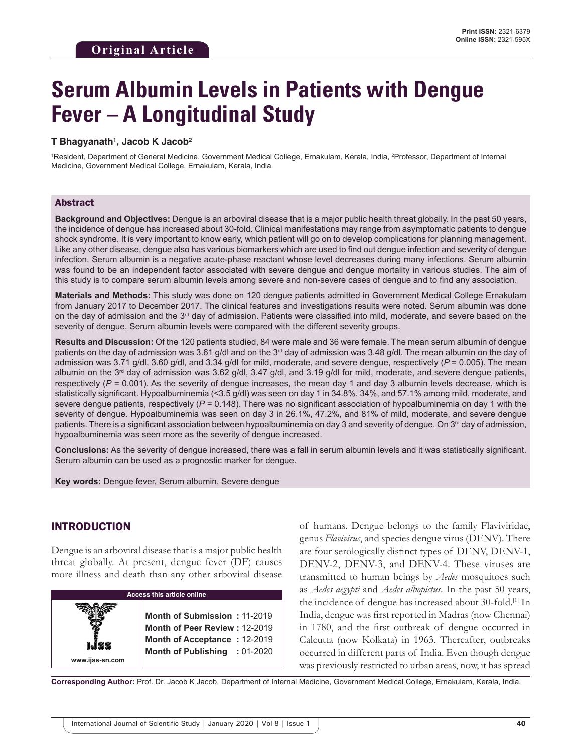# **Serum Albumin Levels in Patients with Dengue Fever – A Longitudinal Study**

#### **T Bhagyanath1 , Jacob K Jacob2**

1 Resident, Department of General Medicine, Government Medical College, Ernakulam, Kerala, India, 2 Professor, Department of Internal Medicine, Government Medical College, Ernakulam, Kerala, India

#### Abstract

**Background and Objectives:** Dengue is an arboviral disease that is a major public health threat globally. In the past 50 years, the incidence of dengue has increased about 30-fold. Clinical manifestations may range from asymptomatic patients to dengue shock syndrome. It is very important to know early, which patient will go on to develop complications for planning management. Like any other disease, dengue also has various biomarkers which are used to find out dengue infection and severity of dengue infection. Serum albumin is a negative acute-phase reactant whose level decreases during many infections. Serum albumin was found to be an independent factor associated with severe dengue and dengue mortality in various studies. The aim of this study is to compare serum albumin levels among severe and non-severe cases of dengue and to find any association.

**Materials and Methods:** This study was done on 120 dengue patients admitted in Government Medical College Ernakulam from January 2017 to December 2017. The clinical features and investigations results were noted. Serum albumin was done on the day of admission and the 3<sup>rd</sup> day of admission. Patients were classified into mild, moderate, and severe based on the severity of dengue. Serum albumin levels were compared with the different severity groups.

**Results and Discussion:** Of the 120 patients studied, 84 were male and 36 were female. The mean serum albumin of dengue patients on the day of admission was 3.61 g/dl and on the 3<sup>rd</sup> day of admission was 3.48 g/dl. The mean albumin on the day of admission was 3.71 g/dl, 3.60 g/dl, and 3.34 g/dl for mild, moderate, and severe dengue, respectively (*P* = 0.005). The mean albumin on the 3<sup>rd</sup> day of admission was 3.62 g/dl, 3.47 g/dl, and 3.19 g/dl for mild, moderate, and severe dengue patients, respectively (*P* = 0.001). As the severity of dengue increases, the mean day 1 and day 3 albumin levels decrease, which is statistically significant. Hypoalbuminemia (<3.5 g/dl) was seen on day 1 in 34.8%, 34%, and 57.1% among mild, moderate, and severe dengue patients, respectively ( $P = 0.148$ ). There was no significant association of hypoalbuminemia on day 1 with the severity of dengue. Hypoalbuminemia was seen on day 3 in 26.1%, 47.2%, and 81% of mild, moderate, and severe dengue patients. There is a significant association between hypoalbuminemia on day 3 and severity of dengue. On 3<sup>rd</sup> day of admission, hypoalbuminemia was seen more as the severity of dengue increased.

**Conclusions:** As the severity of dengue increased, there was a fall in serum albumin levels and it was statistically significant. Serum albumin can be used as a prognostic marker for dengue.

**Key words:** Dengue fever, Serum albumin, Severe dengue

#### INTRODUCTION

Dengue is an arboviral disease that is a major public health threat globally. At present, dengue fever (DF) causes more illness and death than any other arboviral disease



of humans. Dengue belongs to the family Flaviviridae, genus *Flavivirus*, and species dengue virus (DENV). There are four serologically distinct types of DENV, DENV-1, DENV-2, DENV-3, and DENV-4. These viruses are transmitted to human beings by *Aedes* mosquitoes such as *Aedes aegypti* and *Aedes albopictus*. In the past 50 years, the incidence of dengue has increased about 30-fold.[1] In India, dengue was first reported in Madras (now Chennai) in 1780, and the first outbreak of dengue occurred in Calcutta (now Kolkata) in 1963. Thereafter, outbreaks occurred in different parts of India. Even though dengue was previously restricted to urban areas, now, it has spread

**Corresponding Author:** Prof. Dr. Jacob K Jacob, Department of Internal Medicine, Government Medical College, Ernakulam, Kerala, India.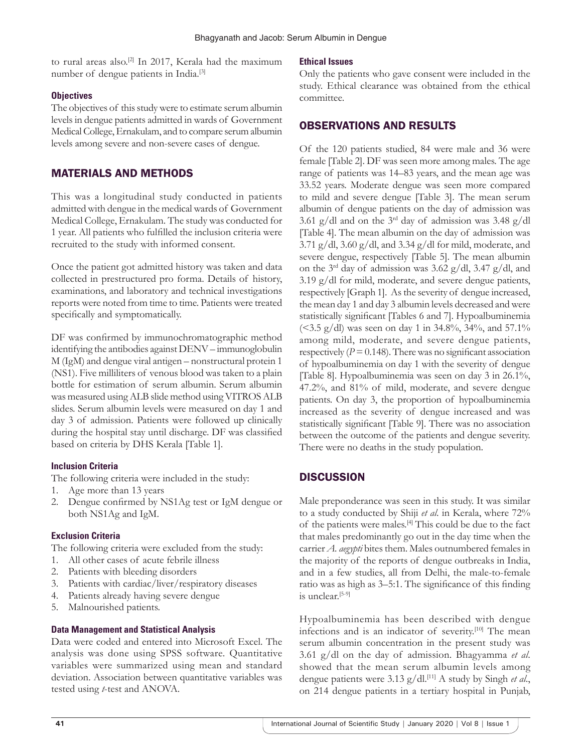to rural areas also.<sup>[2]</sup> In 2017, Kerala had the maximum number of dengue patients in India.[3]

#### **Objectives**

The objectives of this study were to estimate serum albumin levels in dengue patients admitted in wards of Government Medical College, Ernakulam, and to compare serum albumin levels among severe and non-severe cases of dengue.

# MATERIALS AND METHODS

This was a longitudinal study conducted in patients admitted with dengue in the medical wards of Government Medical College, Ernakulam. The study was conducted for 1 year. All patients who fulfilled the inclusion criteria were recruited to the study with informed consent.

Once the patient got admitted history was taken and data collected in prestructured pro forma. Details of history, examinations, and laboratory and technical investigations reports were noted from time to time. Patients were treated specifically and symptomatically.

DF was confirmed by immunochromatographic method identifying the antibodies against DENV – immunoglobulin M (IgM) and dengue viral antigen – nonstructural protein 1 (NS1). Five milliliters of venous blood was taken to a plain bottle for estimation of serum albumin. Serum albumin was measured using ALB slide method using VITROS ALB slides. Serum albumin levels were measured on day 1 and day 3 of admission. Patients were followed up clinically during the hospital stay until discharge. DF was classified based on criteria by DHS Kerala [Table 1].

#### **Inclusion Criteria**

The following criteria were included in the study:

- 1. Age more than 13 years
- 2. Dengue confirmed by NS1Ag test or IgM dengue or both NS1Ag and IgM.

#### **Exclusion Criteria**

The following criteria were excluded from the study:

- 1. All other cases of acute febrile illness
- 2. Patients with bleeding disorders
- 3. Patients with cardiac/liver/respiratory diseases
- 4. Patients already having severe dengue
- 5. Malnourished patients.

# **Data Management and Statistical Analysis**

Data were coded and entered into Microsoft Excel. The analysis was done using SPSS software. Quantitative variables were summarized using mean and standard deviation. Association between quantitative variables was tested using *t*-test and ANOVA.

# **Ethical Issues**

Only the patients who gave consent were included in the study. Ethical clearance was obtained from the ethical committee.

# OBSERVATIONS AND RESULTS

Of the 120 patients studied, 84 were male and 36 were female [Table 2]. DF was seen more among males. The age range of patients was 14–83 years, and the mean age was 33.52 years. Moderate dengue was seen more compared to mild and severe dengue [Table 3]. The mean serum albumin of dengue patients on the day of admission was 3.61 g/dl and on the 3rd day of admission was 3.48 g/dl [Table 4]. The mean albumin on the day of admission was 3.71 g/dl, 3.60 g/dl, and 3.34 g/dl for mild, moderate, and severe dengue, respectively [Table 5]. The mean albumin on the 3<sup>rd</sup> day of admission was 3.62 g/dl, 3.47 g/dl, and 3.19 g/dl for mild, moderate, and severe dengue patients, respectively [Graph 1]. As the severity of dengue increased, the mean day 1 and day 3 albumin levels decreased and were statistically significant [Tables 6 and 7]. Hypoalbuminemia (<3.5 g/dl) was seen on day 1 in 34.8%, 34%, and 57.1% among mild, moderate, and severe dengue patients, respectively  $(P = 0.148)$ . There was no significant association of hypoalbuminemia on day 1 with the severity of dengue [Table 8]. Hypoalbuminemia was seen on day 3 in 26.1%, 47.2%, and 81% of mild, moderate, and severe dengue patients. On day 3, the proportion of hypoalbuminemia increased as the severity of dengue increased and was statistically significant [Table 9]. There was no association between the outcome of the patients and dengue severity. There were no deaths in the study population.

# **DISCUSSION**

Male preponderance was seen in this study. It was similar to a study conducted by Shiji *et al*. in Kerala, where 72% of the patients were males.[4] This could be due to the fact that males predominantly go out in the day time when the carrier *A. aegypti* bites them. Males outnumbered females in the majority of the reports of dengue outbreaks in India, and in a few studies, all from Delhi, the male-to-female ratio was as high as 3–5:1. The significance of this finding is unclear.<sup>[5-9]</sup>

Hypoalbuminemia has been described with dengue infections and is an indicator of severity.[10] The mean serum albumin concentration in the present study was 3.61 g/dl on the day of admission. Bhagyamma *et al*. showed that the mean serum albumin levels among dengue patients were 3.13 g/dl.<sup>[11]</sup> A study by Singh *et al.*, on 214 dengue patients in a tertiary hospital in Punjab,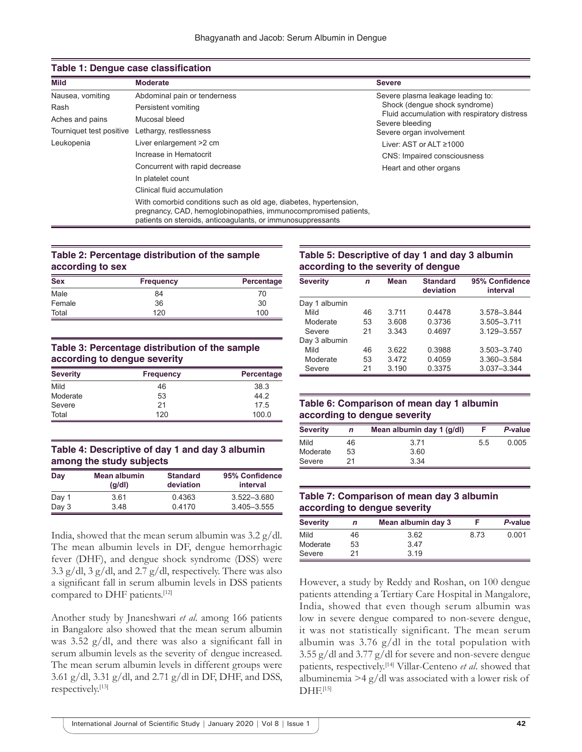| Mild                     | <b>Moderate</b>                                                                                                                                                                                     | <b>Severe</b>                                                   |  |  |
|--------------------------|-----------------------------------------------------------------------------------------------------------------------------------------------------------------------------------------------------|-----------------------------------------------------------------|--|--|
| Nausea, vomiting         | Abdominal pain or tenderness                                                                                                                                                                        | Severe plasma leakage leading to:                               |  |  |
| Rash                     | Persistent vomiting                                                                                                                                                                                 | Shock (denque shock syndrome)                                   |  |  |
| Aches and pains          | Mucosal bleed                                                                                                                                                                                       | Fluid accumulation with respiratory distress<br>Severe bleeding |  |  |
| Tourniquet test positive | Lethargy, restlessness                                                                                                                                                                              | Severe organ involvement                                        |  |  |
| Leukopenia               | Liver enlargement >2 cm                                                                                                                                                                             | Liver: AST or ALT ≥1000                                         |  |  |
|                          | Increase in Hematocrit                                                                                                                                                                              | <b>CNS: Impaired consciousness</b>                              |  |  |
|                          | Concurrent with rapid decrease                                                                                                                                                                      | Heart and other organs                                          |  |  |
|                          | In platelet count                                                                                                                                                                                   |                                                                 |  |  |
|                          | Clinical fluid accumulation                                                                                                                                                                         |                                                                 |  |  |
|                          | With comorbid conditions such as old age, diabetes, hypertension,<br>pregnancy, CAD, hemoglobinopathies, immunocompromised patients,<br>patients on steroids, anticoagulants, or immunosuppressants |                                                                 |  |  |

#### **Table 1: Dengue case classification**

#### **Table 2: Percentage distribution of the sample according to sex**

| <b>Sex</b> | <b>Frequency</b> | Percentage |
|------------|------------------|------------|
| Male       | 84               | 70         |
| Female     | 36               | 30         |
| Total      | 120              | 100        |

#### **Table 3: Percentage distribution of the sample according to dengue severity**

| <b>Severity</b> | <b>Frequency</b> | Percentage |
|-----------------|------------------|------------|
| Mild            | 46               | 38.3       |
| Moderate        | 53               | 44.2       |
| Severe          | 21               | 17.5       |
| Total           | 120              | 100.0      |

#### **Table 4: Descriptive of day 1 and day 3 albumin among the study subjects**

| Day   | Mean albumin<br>$\left( q/d \right)$ | <b>Standard</b><br>deviation | 95% Confidence<br>interval |
|-------|--------------------------------------|------------------------------|----------------------------|
| Day 1 | 3.61                                 | 0.4363                       | $3.522 - 3.680$            |
| Day 3 | 348                                  | 0.4170                       | $3.405 - 3.555$            |

India, showed that the mean serum albumin was 3.2 g/dl. The mean albumin levels in DF, dengue hemorrhagic fever (DHF), and dengue shock syndrome (DSS) were 3.3 g/dl, 3 g/dl, and 2.7 g/dl, respectively. There was also a significant fall in serum albumin levels in DSS patients compared to DHF patients.<sup>[12]</sup>

Another study by Jnaneshwari *et al*. among 166 patients in Bangalore also showed that the mean serum albumin was 3.52 g/dl, and there was also a significant fall in serum albumin levels as the severity of dengue increased. The mean serum albumin levels in different groups were 3.61 g/dl, 3.31 g/dl, and 2.71 g/dl in DF, DHF, and DSS, respectively.[13]

#### **Table 5: Descriptive of day 1 and day 3 albumin according to the severity of dengue**

| <b>Severity</b> | n  | <b>Mean</b> | <b>Standard</b><br>deviation | 95% Confidence<br>interval |
|-----------------|----|-------------|------------------------------|----------------------------|
| Day 1 albumin   |    |             |                              |                            |
| Mild            | 46 | 3.711       | 0.4478                       | 3.578-3.844                |
| Moderate        | 53 | 3.608       | 0.3736                       | 3.505-3.711                |
| Severe          | 21 | 3.343       | 0.4697                       | 3.129-3.557                |
| Day 3 albumin   |    |             |                              |                            |
| Mild            | 46 | 3.622       | 0.3988                       | $3.503 - 3.740$            |
| Moderate        | 53 | 3472        | 0.4059                       | 3.360-3.584                |
| Severe          | 21 | 3.190       | 0.3375                       | $3.037 - 3.344$            |

#### **Table 6: Comparison of mean day 1 albumin according to dengue severity**

| <b>Severity</b> | n  | Mean albumin day 1 (g/dl) |    | P-value |
|-----------------|----|---------------------------|----|---------|
| Mild            | 46 | 3.71                      | 55 | 0.005   |
| Moderate        | 53 | 3.60                      |    |         |
| Severe          | 21 | 3.34                      |    |         |

#### **Table 7: Comparison of mean day 3 albumin according to dengue severity**

| <b>Severity</b> | n  | Mean albumin day 3 |      | P-value |
|-----------------|----|--------------------|------|---------|
| Mild            | 46 | 3.62               | 8.73 | 0.001   |
| Moderate        | 53 | 3.47               |      |         |
| Severe          | 21 | 3 1 9              |      |         |

However, a study by Reddy and Roshan, on 100 dengue patients attending a Tertiary Care Hospital in Mangalore, India, showed that even though serum albumin was low in severe dengue compared to non-severe dengue, it was not statistically significant. The mean serum albumin was 3.76 g/dl in the total population with 3.55 g/dl and 3.77 g/dl for severe and non-severe dengue patients, respectively.[14] Villar-Centeno *et al*. showed that albuminemia >4 g/dl was associated with a lower risk of  $DHF.$ [15]